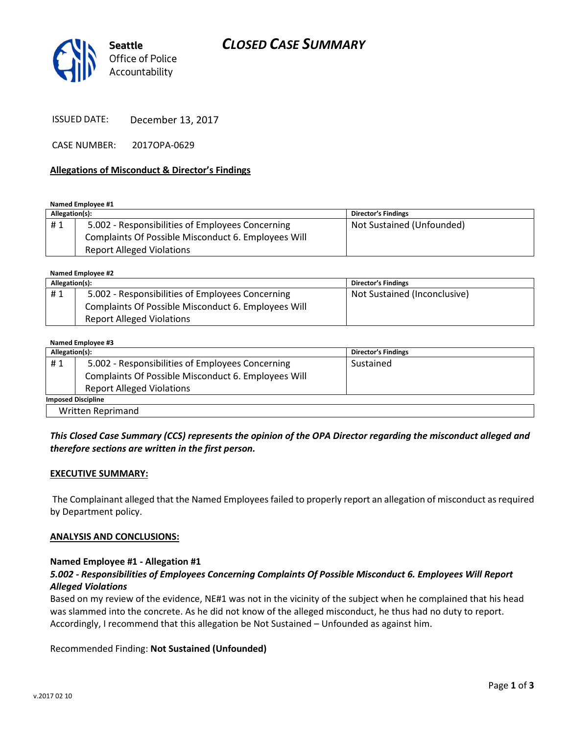# CLOSED CASE SUMMARY



ISSUED DATE: December 13, 2017

CASE NUMBER: 2017OPA-0629

#### Allegations of Misconduct & Director's Findings

Named Employee #1

| Allegation(s): |                                                     | <b>Director's Findings</b> |
|----------------|-----------------------------------------------------|----------------------------|
| #1             | 5.002 - Responsibilities of Employees Concerning    | Not Sustained (Unfounded)  |
|                | Complaints Of Possible Misconduct 6. Employees Will |                            |
|                | <b>Report Alleged Violations</b>                    |                            |

Named Employee #2

| Allegation(s): |                                                     | <b>Director's Findings</b>   |
|----------------|-----------------------------------------------------|------------------------------|
| #1             | 5.002 - Responsibilities of Employees Concerning    | Not Sustained (Inconclusive) |
|                | Complaints Of Possible Misconduct 6. Employees Will |                              |
|                | <b>Report Alleged Violations</b>                    |                              |

#### Named Employee #3

| Allegation(s):            |                                                     | <b>Director's Findings</b> |  |
|---------------------------|-----------------------------------------------------|----------------------------|--|
| #1                        | 5.002 - Responsibilities of Employees Concerning    | Sustained                  |  |
|                           | Complaints Of Possible Misconduct 6. Employees Will |                            |  |
|                           | <b>Report Alleged Violations</b>                    |                            |  |
| <b>Imposed Discipline</b> |                                                     |                            |  |
| <b>Written Reprimand</b>  |                                                     |                            |  |

# This Closed Case Summary (CCS) represents the opinion of the OPA Director regarding the misconduct alleged and therefore sections are written in the first person.

#### EXECUTIVE SUMMARY:

 The Complainant alleged that the Named Employees failed to properly report an allegation of misconduct as required by Department policy.

#### ANALYSIS AND CONCLUSIONS:

#### Named Employee #1 - Allegation #1

## 5.002 - Responsibilities of Employees Concerning Complaints Of Possible Misconduct 6. Employees Will Report Alleged Violations

Based on my review of the evidence, NE#1 was not in the vicinity of the subject when he complained that his head was slammed into the concrete. As he did not know of the alleged misconduct, he thus had no duty to report. Accordingly, I recommend that this allegation be Not Sustained – Unfounded as against him.

#### Recommended Finding: Not Sustained (Unfounded)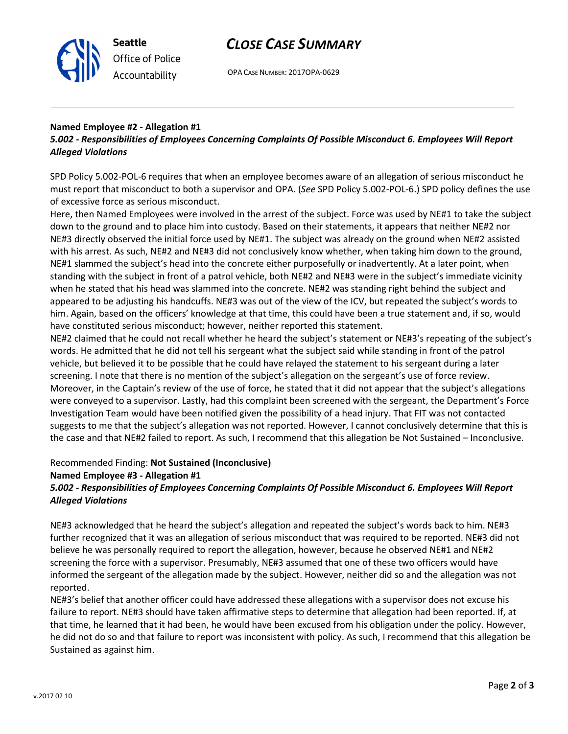



# Named Employee #2 - Allegation #1

Seattle

Office of Police Accountability

# 5.002 - Responsibilities of Employees Concerning Complaints Of Possible Misconduct 6. Employees Will Report Alleged Violations

SPD Policy 5.002-POL-6 requires that when an employee becomes aware of an allegation of serious misconduct he must report that misconduct to both a supervisor and OPA. (See SPD Policy 5.002-POL-6.) SPD policy defines the use of excessive force as serious misconduct.

Here, then Named Employees were involved in the arrest of the subject. Force was used by NE#1 to take the subject down to the ground and to place him into custody. Based on their statements, it appears that neither NE#2 nor NE#3 directly observed the initial force used by NE#1. The subject was already on the ground when NE#2 assisted with his arrest. As such, NE#2 and NE#3 did not conclusively know whether, when taking him down to the ground, NE#1 slammed the subject's head into the concrete either purposefully or inadvertently. At a later point, when standing with the subject in front of a patrol vehicle, both NE#2 and NE#3 were in the subject's immediate vicinity when he stated that his head was slammed into the concrete. NE#2 was standing right behind the subject and appeared to be adjusting his handcuffs. NE#3 was out of the view of the ICV, but repeated the subject's words to him. Again, based on the officers' knowledge at that time, this could have been a true statement and, if so, would have constituted serious misconduct; however, neither reported this statement.

NE#2 claimed that he could not recall whether he heard the subject's statement or NE#3's repeating of the subject's words. He admitted that he did not tell his sergeant what the subject said while standing in front of the patrol vehicle, but believed it to be possible that he could have relayed the statement to his sergeant during a later screening. I note that there is no mention of the subject's allegation on the sergeant's use of force review. Moreover, in the Captain's review of the use of force, he stated that it did not appear that the subject's allegations were conveyed to a supervisor. Lastly, had this complaint been screened with the sergeant, the Department's Force Investigation Team would have been notified given the possibility of a head injury. That FIT was not contacted suggests to me that the subject's allegation was not reported. However, I cannot conclusively determine that this is the case and that NE#2 failed to report. As such, I recommend that this allegation be Not Sustained – Inconclusive.

#### Recommended Finding: Not Sustained (Inconclusive)

#### Named Employee #3 - Allegation #1

## 5.002 - Responsibilities of Employees Concerning Complaints Of Possible Misconduct 6. Employees Will Report Alleged Violations

NE#3 acknowledged that he heard the subject's allegation and repeated the subject's words back to him. NE#3 further recognized that it was an allegation of serious misconduct that was required to be reported. NE#3 did not believe he was personally required to report the allegation, however, because he observed NE#1 and NE#2 screening the force with a supervisor. Presumably, NE#3 assumed that one of these two officers would have informed the sergeant of the allegation made by the subject. However, neither did so and the allegation was not reported.

NE#3's belief that another officer could have addressed these allegations with a supervisor does not excuse his failure to report. NE#3 should have taken affirmative steps to determine that allegation had been reported. If, at that time, he learned that it had been, he would have been excused from his obligation under the policy. However, he did not do so and that failure to report was inconsistent with policy. As such, I recommend that this allegation be Sustained as against him.